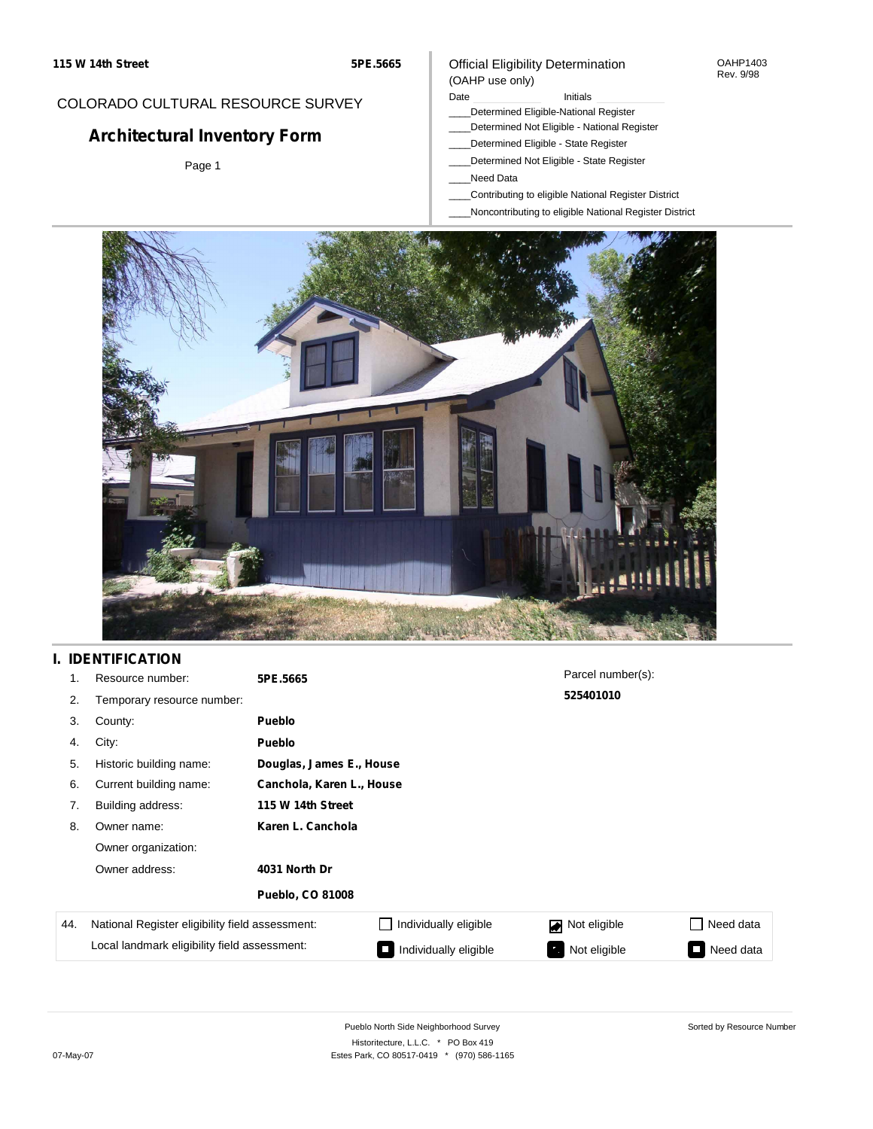# Official Eligibility Determination

OAHP1403 Rev. 9/98

## COLORADO CULTURAL RESOURCE SURVEY

## **Architectural Inventory Form**

Page 1

#### Date **Initials** Initials

- \_\_\_\_Determined Eligible-National Register
- \_\_\_\_Determined Not Eligible National Register
- \_\_\_\_Determined Eligible State Register
- \_\_\_\_Determined Not Eligible State Register
- \_\_\_\_Need Data

(OAHP use only)

- \_\_\_\_Contributing to eligible National Register District
- \_\_\_\_Noncontributing to eligible National Register District



## **I. IDENTIFICATION**

| 1.  | Resource number:                                | 5PE.5665                |                           | Parcel number(s):              |           |  |  |  |  |
|-----|-------------------------------------------------|-------------------------|---------------------------|--------------------------------|-----------|--|--|--|--|
| 2.  | Temporary resource number:                      |                         |                           | 525401010                      |           |  |  |  |  |
| 3.  | County:                                         | <b>Pueblo</b>           |                           |                                |           |  |  |  |  |
| 4.  | City:                                           | <b>Pueblo</b>           |                           |                                |           |  |  |  |  |
| 5.  | Historic building name:                         |                         | Douglas, James E., House  |                                |           |  |  |  |  |
| 6.  | Current building name:                          |                         | Canchola, Karen L., House |                                |           |  |  |  |  |
| 7.  | Building address:                               | 115 W 14th Street       |                           |                                |           |  |  |  |  |
| 8.  | Owner name:                                     | Karen L. Canchola       |                           |                                |           |  |  |  |  |
|     | Owner organization:                             |                         |                           |                                |           |  |  |  |  |
|     | Owner address:                                  | 4031 North Dr           |                           |                                |           |  |  |  |  |
|     |                                                 | <b>Pueblo, CO 81008</b> |                           |                                |           |  |  |  |  |
| 44. | National Register eligibility field assessment: |                         | Individually eligible     | Not eligible<br>$\blacksquare$ | Need data |  |  |  |  |
|     | Local landmark eligibility field assessment:    |                         | Individually eligible     | Not eligible                   | Need data |  |  |  |  |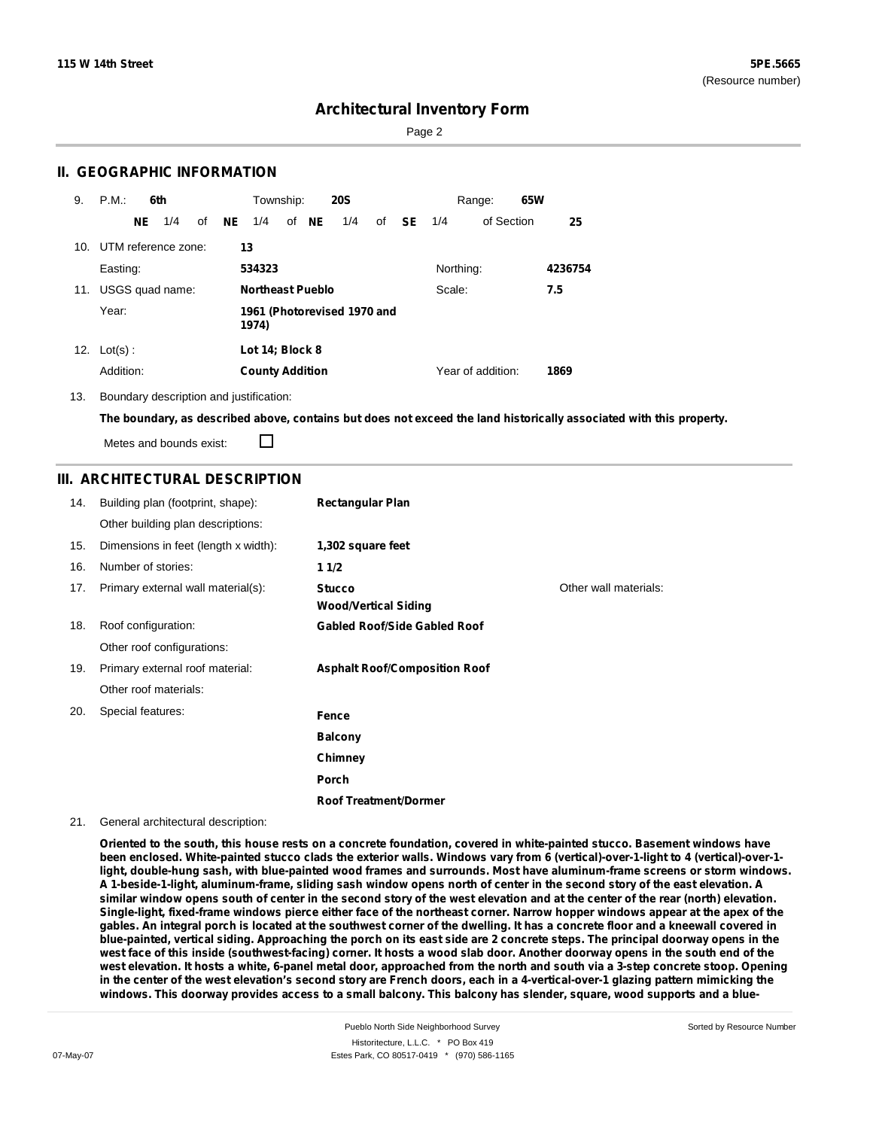Page 2

#### **II. GEOGRAPHIC INFORMATION**

| 9.  | P.M.                                          |     | 6th                 |    |     | Township:               |       | <b>20S</b> |    |     |           | Range:            | 65W |         |
|-----|-----------------------------------------------|-----|---------------------|----|-----|-------------------------|-------|------------|----|-----|-----------|-------------------|-----|---------|
|     |                                               | NE. | 1/4                 | of | NE. | 1/4                     | of NE | 1/4        | of | SE. | 1/4       | of Section        |     | 25      |
| 10. |                                               |     | UTM reference zone: |    | 13  |                         |       |            |    |     |           |                   |     |         |
|     | Easting:                                      |     |                     |    |     | 534323                  |       |            |    |     | Northing: |                   |     | 4236754 |
| 11. |                                               |     | USGS quad name:     |    |     | <b>Northeast Pueblo</b> |       |            |    |     | Scale:    |                   |     | 7.5     |
|     | Year:<br>1961 (Photorevised 1970 and<br>1974) |     |                     |    |     |                         |       |            |    |     |           |                   |     |         |
| 12. | $Lot(s)$ :                                    |     |                     |    |     | Lot 14; Block 8         |       |            |    |     |           |                   |     |         |
|     | Addition:                                     |     |                     |    |     | <b>County Addition</b>  |       |            |    |     |           | Year of addition: |     | 1869    |

13. Boundary description and justification:

The boundary, as described above, contains but does not exceed the land historically associated with this property.

П Metes and bounds exist:

### **III. ARCHITECTURAL DESCRIPTION**

| 14. | Building plan (footprint, shape):    | <b>Rectangular Plan</b>                      |                       |
|-----|--------------------------------------|----------------------------------------------|-----------------------|
|     | Other building plan descriptions:    |                                              |                       |
| 15. | Dimensions in feet (length x width): | 1,302 square feet                            |                       |
| 16. | Number of stories:                   | 11/2                                         |                       |
| 17. | Primary external wall material(s):   | <b>Stucco</b><br><b>Wood/Vertical Siding</b> | Other wall materials: |
| 18. | Roof configuration:                  | <b>Gabled Roof/Side Gabled Roof</b>          |                       |
|     | Other roof configurations:           |                                              |                       |
| 19. | Primary external roof material:      | <b>Asphalt Roof/Composition Roof</b>         |                       |
|     | Other roof materials:                |                                              |                       |
| 20. | Special features:                    | Fence                                        |                       |
|     |                                      | <b>Balcony</b>                               |                       |
|     |                                      | Chimney                                      |                       |
|     |                                      | Porch                                        |                       |
|     |                                      | <b>Roof Treatment/Dormer</b>                 |                       |

#### 21. General architectural description:

Oriented to the south, this house rests on a concrete foundation, covered in white-painted stucco. Basement windows have been enclosed. White-painted stucco clads the exterior walls. Windows vary from 6 (vertical)-over-1-light to 4 (vertical)-over-1light, double-hung sash, with blue-painted wood frames and surrounds. Most have aluminum-frame screens or storm windows. A 1-beside-1-light, aluminum-frame, sliding sash window opens north of center in the second story of the east elevation. A similar window opens south of center in the second story of the west elevation and at the center of the rear (north) elevation. Single-light, fixed-frame windows pierce either face of the northeast corner. Narrow hopper windows appear at the apex of the gables. An integral porch is located at the southwest corner of the dwelling. It has a concrete floor and a kneewall covered in blue-painted, vertical siding. Approaching the porch on its east side are 2 concrete steps. The principal doorway opens in the west face of this inside (southwest-facing) corner. It hosts a wood slab door. Another doorway opens in the south end of the west elevation. It hosts a white, 6-panel metal door, approached from the north and south via a 3-step concrete stoop. Opening in the center of the west elevation's second story are French doors, each in a 4-vertical-over-1 glazing pattern mimicking the windows. This doorway provides access to a small balcony. This balcony has slender, square, wood supports and a blue-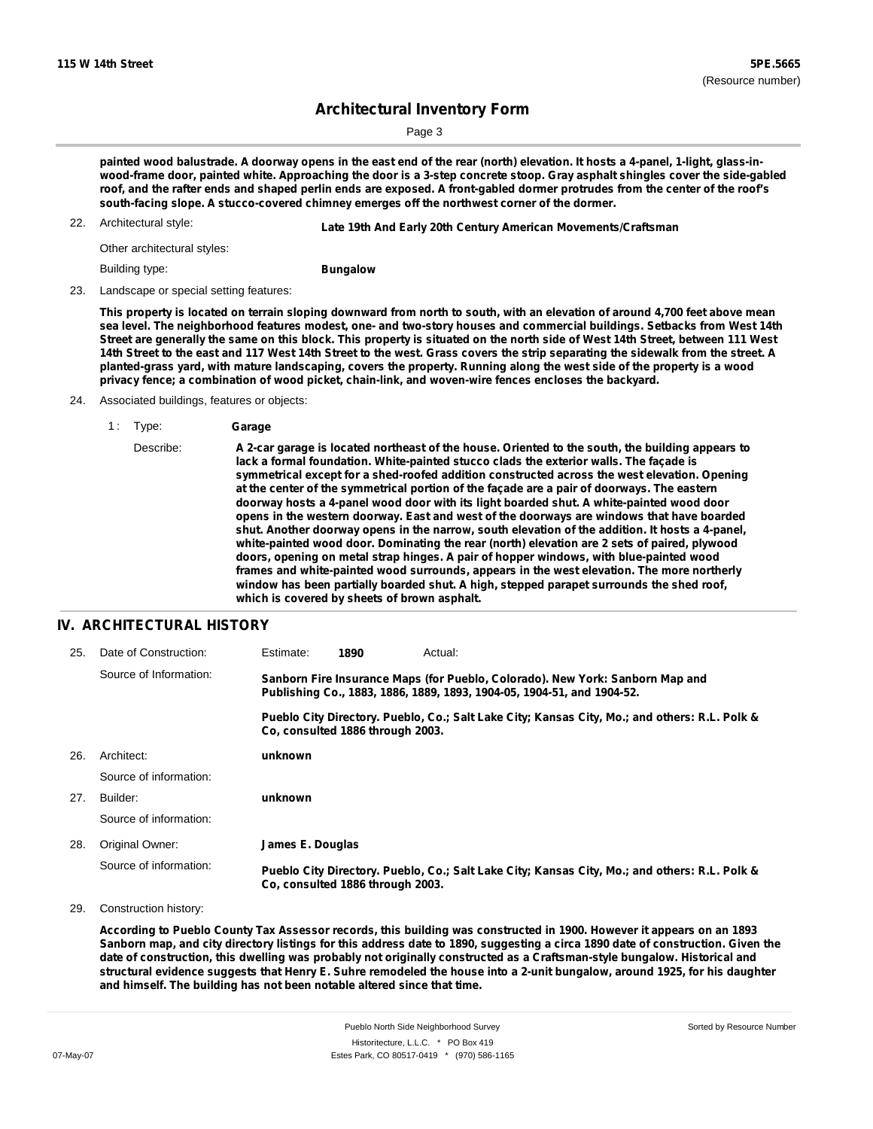Page 3

painted wood balustrade. A doorway opens in the east end of the rear (north) elevation. It hosts a 4-panel, 1-light, glass-inwood-frame door, painted white. Approaching the door is a 3-step concrete stoop. Gray asphalt shingles cover the side-gabled roof, and the rafter ends and shaped perlin ends are exposed. A front-gabled dormer protrudes from the center of the roof's **south-facing slope. A stucco-covered chimney emerges off the northwest corner of the dormer.**

22. Architectural style: **Late 19th And Early 20th Century American Movements/Craftsman**

Other architectural styles:

Building type:

**Bungalow**

23. Landscape or special setting features:

This property is located on terrain sloping downward from north to south, with an elevation of around 4,700 feet above mean sea level. The neighborhood features modest, one- and two-story houses and commercial buildings. Setbacks from West 14th Street are generally the same on this block. This property is situated on the north side of West 14th Street, between 111 West 14th Street to the east and 117 West 14th Street to the west. Grass covers the strip separating the sidewalk from the street. A planted-grass yard, with mature landscaping, covers the property. Running along the west side of the property is a wood **privacy fence; a combination of wood picket, chain-link, and woven-wire fences encloses the backyard.**

24. Associated buildings, features or objects:

Describe: A 2-car garage is located northeast of the house. Oriented to the south, the building appears to **lack a formal foundation. White-painted stucco clads the exterior walls. The façade is symmetrical except for a shed-roofed addition constructed across the west elevation. Opening at the center of the symmetrical portion of the façade are a pair of doorways. The eastern doorway hosts a 4-panel wood door with its light boarded shut. A white-painted wood door opens in the western doorway. East and west of the doorways are windows that have boarded shut. Another doorway opens in the narrow, south elevation of the addition. It hosts a 4-panel, white-painted wood door. Dominating the rear (north) elevation are 2 sets of paired, plywood doors, opening on metal strap hinges. A pair of hopper windows, with blue-painted wood frames and white-painted wood surrounds, appears in the west elevation. The more northerly window has been partially boarded shut. A high, stepped parapet surrounds the shed roof, which is covered by sheets of brown asphalt.**

#### **IV. ARCHITECTURAL HISTORY**

| 25. | Date of Construction:  | Estimate:        | 1890                             | Actual:                                                                                                                                                 |
|-----|------------------------|------------------|----------------------------------|---------------------------------------------------------------------------------------------------------------------------------------------------------|
|     | Source of Information: |                  |                                  | Sanborn Fire Insurance Maps (for Pueblo, Colorado). New York: Sanborn Map and<br>Publishing Co., 1883, 1886, 1889, 1893, 1904-05, 1904-51, and 1904-52. |
|     |                        |                  | Co. consulted 1886 through 2003. | Pueblo City Directory. Pueblo, Co.; Salt Lake City; Kansas City, Mo.; and others: R.L. Polk &                                                           |
| 26. | Architect:             | unknown          |                                  |                                                                                                                                                         |
|     | Source of information: |                  |                                  |                                                                                                                                                         |
| 27. | Builder:               | unknown          |                                  |                                                                                                                                                         |
|     | Source of information: |                  |                                  |                                                                                                                                                         |
| 28. | Original Owner:        | James E. Douglas |                                  |                                                                                                                                                         |
|     | Source of information: |                  | Co, consulted 1886 through 2003. | Pueblo City Directory. Pueblo, Co.; Salt Lake City; Kansas City, Mo.; and others: R.L. Polk &                                                           |

29. Construction history:

According to Pueblo County Tax Assessor records, this building was constructed in 1900. However it appears on an 1893 Sanborn map, and city directory listings for this address date to 1890, suggesting a circa 1890 date of construction. Given the date of construction, this dwelling was probably not originally constructed as a Craftsman-style bungalow. Historical and structural evidence suggests that Henry E. Suhre remodeled the house into a 2-unit bungalow, around 1925, for his daughter **and himself. The building has not been notable altered since that time.**

<sup>1</sup> : Type: **Garage**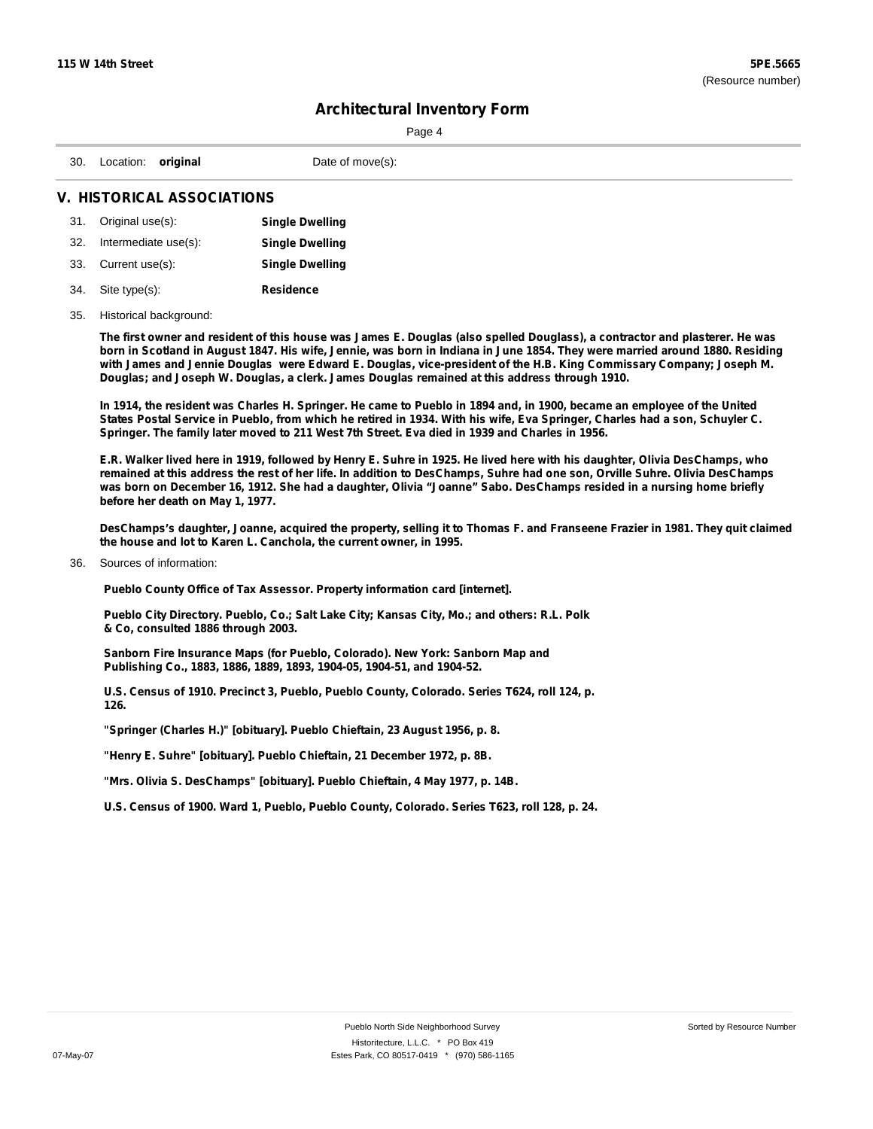|                                   |                        |  | Page 4           |  |  |
|-----------------------------------|------------------------|--|------------------|--|--|
|                                   | 30. Location: original |  | Date of move(s): |  |  |
| <b>V. HISTORICAL ASSOCIATIONS</b> |                        |  |                  |  |  |

|     | 31. Original use(s): | <b>Single Dwelling</b> |
|-----|----------------------|------------------------|
| 32. | Intermediate use(s): | <b>Single Dwelling</b> |
|     | 33. Current use(s):  | <b>Single Dwelling</b> |
|     | 34. Site type(s):    | Residence              |

#### 35. Historical background:

The first owner and resident of this house was James E. Douglas (also spelled Douglass), a contractor and plasterer. He was born in Scotland in August 1847. His wife, Jennie, was born in Indiana in June 1854. They were married around 1880. Residing with James and Jennie Douglas were Edward E. Douglas, vice-president of the H.B. King Commissary Company; Joseph M. **Douglas; and Joseph W. Douglas, a clerk. James Douglas remained at this address through 1910.**

In 1914, the resident was Charles H. Springer. He came to Pueblo in 1894 and, in 1900, became an employee of the United States Postal Service in Pueblo, from which he retired in 1934. With his wife, Eva Springer, Charles had a son, Schuyler C. **Springer. The family later moved to 211 West 7th Street. Eva died in 1939 and Charles in 1956.**

E.R. Walker lived here in 1919, followed by Henry E. Suhre in 1925. He lived here with his daughter, Olivia DesChamps, who remained at this address the rest of her life. In addition to DesChamps, Suhre had one son, Orville Suhre. Olivia DesChamps was born on December 16, 1912. She had a daughter, Olivia "Joanne" Sabo. DesChamps resided in a nursing home briefly **before her death on May 1, 1977.**

DesChamps's daughter, Joanne, acquired the property, selling it to Thomas F. and Franseene Frazier in 1981. They quit claimed **the house and lot to Karen L. Canchola, the current owner, in 1995.**

#### 36. Sources of information:

**Pueblo County Office of Tax Assessor. Property information card [internet].**

**Pueblo City Directory. Pueblo, Co.; Salt Lake City; Kansas City, Mo.; and others: R.L. Polk & Co, consulted 1886 through 2003.**

**Sanborn Fire Insurance Maps (for Pueblo, Colorado). New York: Sanborn Map and Publishing Co., 1883, 1886, 1889, 1893, 1904-05, 1904-51, and 1904-52.**

**U.S. Census of 1910. Precinct 3, Pueblo, Pueblo County, Colorado. Series T624, roll 124, p. 126.**

**"Springer (Charles H.)" [obituary]. Pueblo Chieftain, 23 August 1956, p. 8.**

**"Henry E. Suhre" [obituary]. Pueblo Chieftain, 21 December 1972, p. 8B.**

**"Mrs. Olivia S. DesChamps" [obituary]. Pueblo Chieftain, 4 May 1977, p. 14B.**

**U.S. Census of 1900. Ward 1, Pueblo, Pueblo County, Colorado. Series T623, roll 128, p. 24.**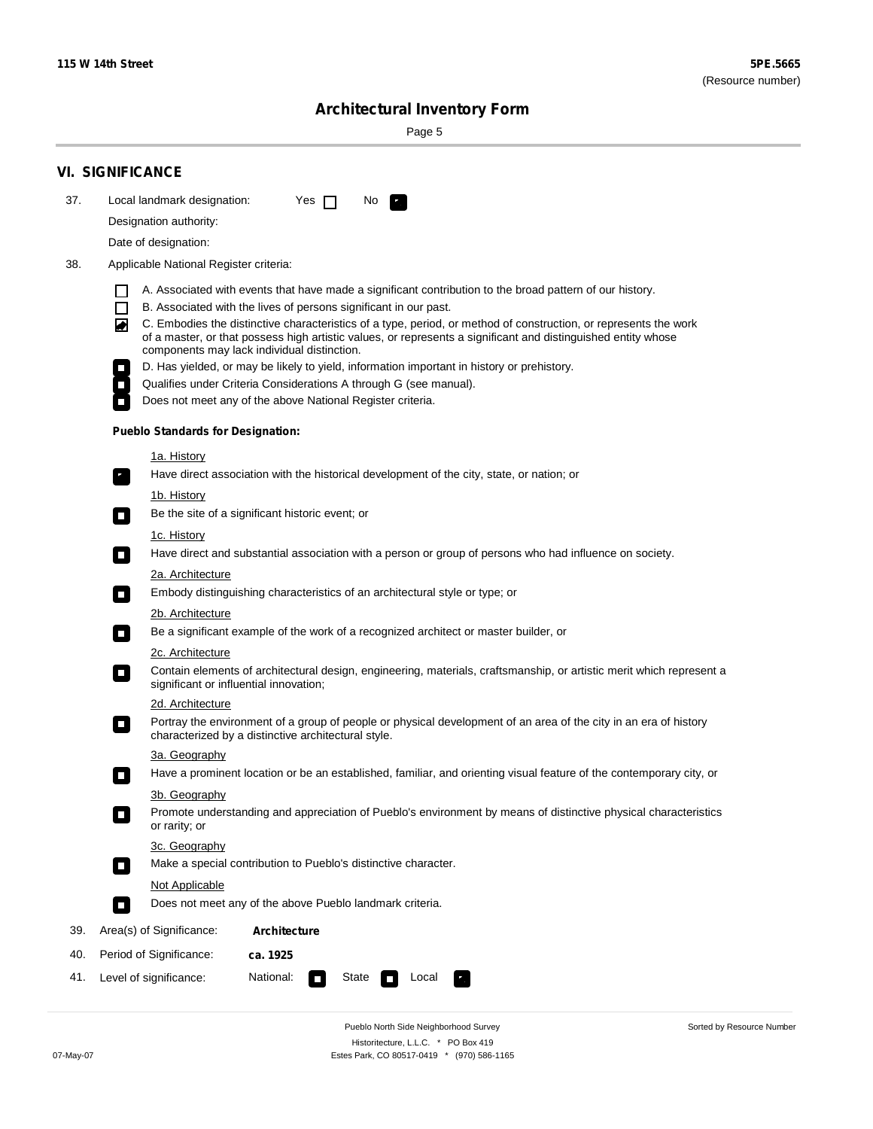÷

Sorted by Resource Number

## **Architectural Inventory Form**

Page 5

|     | <b>VI. SIGNIFICANCE</b>                                                                                                                                                                                                                                                                                                  |                                                                                                                                                                                                                                                                                                                                                                                                                                                                                                                                                                                                                                                                                                                                                                                                                                                                                                                                                                                                                                                                                                                                                                                                                                                                                                                                                                                                                                                                                                                                                                                                         |
|-----|--------------------------------------------------------------------------------------------------------------------------------------------------------------------------------------------------------------------------------------------------------------------------------------------------------------------------|---------------------------------------------------------------------------------------------------------------------------------------------------------------------------------------------------------------------------------------------------------------------------------------------------------------------------------------------------------------------------------------------------------------------------------------------------------------------------------------------------------------------------------------------------------------------------------------------------------------------------------------------------------------------------------------------------------------------------------------------------------------------------------------------------------------------------------------------------------------------------------------------------------------------------------------------------------------------------------------------------------------------------------------------------------------------------------------------------------------------------------------------------------------------------------------------------------------------------------------------------------------------------------------------------------------------------------------------------------------------------------------------------------------------------------------------------------------------------------------------------------------------------------------------------------------------------------------------------------|
| 37. | Local landmark designation:                                                                                                                                                                                                                                                                                              | Yes $\Box$<br>No.<br>$\mathbf{F}$                                                                                                                                                                                                                                                                                                                                                                                                                                                                                                                                                                                                                                                                                                                                                                                                                                                                                                                                                                                                                                                                                                                                                                                                                                                                                                                                                                                                                                                                                                                                                                       |
|     | Designation authority:                                                                                                                                                                                                                                                                                                   |                                                                                                                                                                                                                                                                                                                                                                                                                                                                                                                                                                                                                                                                                                                                                                                                                                                                                                                                                                                                                                                                                                                                                                                                                                                                                                                                                                                                                                                                                                                                                                                                         |
|     | Date of designation:                                                                                                                                                                                                                                                                                                     |                                                                                                                                                                                                                                                                                                                                                                                                                                                                                                                                                                                                                                                                                                                                                                                                                                                                                                                                                                                                                                                                                                                                                                                                                                                                                                                                                                                                                                                                                                                                                                                                         |
| 38. | Applicable National Register criteria:                                                                                                                                                                                                                                                                                   |                                                                                                                                                                                                                                                                                                                                                                                                                                                                                                                                                                                                                                                                                                                                                                                                                                                                                                                                                                                                                                                                                                                                                                                                                                                                                                                                                                                                                                                                                                                                                                                                         |
|     | $\Box$<br>◙<br><b>Pueblo Standards for Designation:</b><br><u>1a. History</u><br>$\overline{\phantom{a}}$ .<br><u>1b. History</u><br>$\Box$<br>1c. History<br>$\Box$<br>2a. Architecture<br>$\Box$<br>2b. Architecture<br>$\mathcal{L}_{\mathcal{A}}$<br>2c. Architecture<br>О<br>2d. Architecture<br>О<br>3a. Geography | A. Associated with events that have made a significant contribution to the broad pattern of our history.<br>B. Associated with the lives of persons significant in our past.<br>C. Embodies the distinctive characteristics of a type, period, or method of construction, or represents the work<br>of a master, or that possess high artistic values, or represents a significant and distinguished entity whose<br>components may lack individual distinction.<br>D. Has yielded, or may be likely to yield, information important in history or prehistory.<br>Qualifies under Criteria Considerations A through G (see manual).<br>Does not meet any of the above National Register criteria.<br>Have direct association with the historical development of the city, state, or nation; or<br>Be the site of a significant historic event; or<br>Have direct and substantial association with a person or group of persons who had influence on society.<br>Embody distinguishing characteristics of an architectural style or type; or<br>Be a significant example of the work of a recognized architect or master builder, or<br>Contain elements of architectural design, engineering, materials, craftsmanship, or artistic merit which represent a<br>significant or influential innovation;<br>Portray the environment of a group of people or physical development of an area of the city in an era of history<br>characterized by a distinctive architectural style.<br>Have a prominent location or be an established, familiar, and orienting visual feature of the contemporary city, or |
|     | 3b. Geography                                                                                                                                                                                                                                                                                                            |                                                                                                                                                                                                                                                                                                                                                                                                                                                                                                                                                                                                                                                                                                                                                                                                                                                                                                                                                                                                                                                                                                                                                                                                                                                                                                                                                                                                                                                                                                                                                                                                         |
|     | or rarity; or                                                                                                                                                                                                                                                                                                            | Promote understanding and appreciation of Pueblo's environment by means of distinctive physical characteristics                                                                                                                                                                                                                                                                                                                                                                                                                                                                                                                                                                                                                                                                                                                                                                                                                                                                                                                                                                                                                                                                                                                                                                                                                                                                                                                                                                                                                                                                                         |
|     | 3c. Geography                                                                                                                                                                                                                                                                                                            |                                                                                                                                                                                                                                                                                                                                                                                                                                                                                                                                                                                                                                                                                                                                                                                                                                                                                                                                                                                                                                                                                                                                                                                                                                                                                                                                                                                                                                                                                                                                                                                                         |
|     | $\Box$                                                                                                                                                                                                                                                                                                                   | Make a special contribution to Pueblo's distinctive character.                                                                                                                                                                                                                                                                                                                                                                                                                                                                                                                                                                                                                                                                                                                                                                                                                                                                                                                                                                                                                                                                                                                                                                                                                                                                                                                                                                                                                                                                                                                                          |
|     | Not Applicable                                                                                                                                                                                                                                                                                                           |                                                                                                                                                                                                                                                                                                                                                                                                                                                                                                                                                                                                                                                                                                                                                                                                                                                                                                                                                                                                                                                                                                                                                                                                                                                                                                                                                                                                                                                                                                                                                                                                         |
|     | П                                                                                                                                                                                                                                                                                                                        | Does not meet any of the above Pueblo landmark criteria.                                                                                                                                                                                                                                                                                                                                                                                                                                                                                                                                                                                                                                                                                                                                                                                                                                                                                                                                                                                                                                                                                                                                                                                                                                                                                                                                                                                                                                                                                                                                                |
| 39. | Area(s) of Significance:                                                                                                                                                                                                                                                                                                 | <b>Architecture</b>                                                                                                                                                                                                                                                                                                                                                                                                                                                                                                                                                                                                                                                                                                                                                                                                                                                                                                                                                                                                                                                                                                                                                                                                                                                                                                                                                                                                                                                                                                                                                                                     |
| 40. | Period of Significance:                                                                                                                                                                                                                                                                                                  | ca. 1925                                                                                                                                                                                                                                                                                                                                                                                                                                                                                                                                                                                                                                                                                                                                                                                                                                                                                                                                                                                                                                                                                                                                                                                                                                                                                                                                                                                                                                                                                                                                                                                                |
| 41. | Level of significance:                                                                                                                                                                                                                                                                                                   | National:<br>State<br>Local<br>$\Box$                                                                                                                                                                                                                                                                                                                                                                                                                                                                                                                                                                                                                                                                                                                                                                                                                                                                                                                                                                                                                                                                                                                                                                                                                                                                                                                                                                                                                                                                                                                                                                   |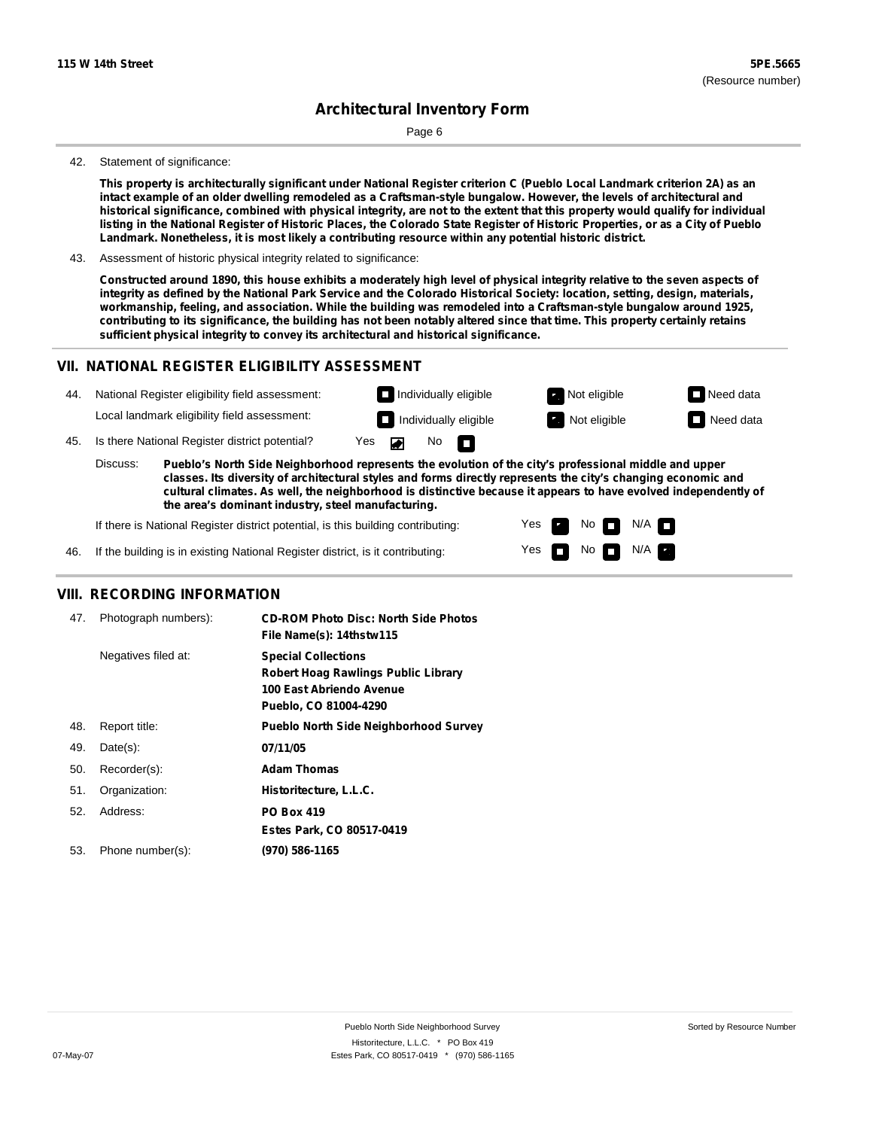Page 6

#### 42. Statement of significance:

This property is architecturally significant under National Register criterion C (Pueblo Local Landmark criterion 2A) as an intact example of an older dwelling remodeled as a Craftsman-style bungalow. However, the levels of architectural and historical significance, combined with physical integrity, are not to the extent that this property would qualify for individual listing in the National Register of Historic Places, the Colorado State Register of Historic Properties, or as a City of Pueblo **Landmark. Nonetheless, it is most likely a contributing resource within any potential historic district.**

43. Assessment of historic physical integrity related to significance:

Constructed around 1890, this house exhibits a moderately high level of physical integrity relative to the seven aspects of integrity as defined by the National Park Service and the Colorado Historical Society: location, setting, design, materials, **workmanship, feeling, and association. While the building was remodeled into a Craftsman-style bungalow around 1925,** contributing to its significance, the building has not been notably altered since that time. This property certainly retains **sufficient physical integrity to convey its architectural and historical significance.**

#### **VII. NATIONAL REGISTER ELIGIBILITY ASSESSMENT**

| 44  |                                                                                                                                                                                                                                                                                                                                                       | National Register eligibility field assessment: |     |  |     | $\Box$ Individually eligible | Not eligible | $\Box$ Need data |
|-----|-------------------------------------------------------------------------------------------------------------------------------------------------------------------------------------------------------------------------------------------------------------------------------------------------------------------------------------------------------|-------------------------------------------------|-----|--|-----|------------------------------|--------------|------------------|
|     |                                                                                                                                                                                                                                                                                                                                                       | Local landmark eligibility field assessment:    |     |  |     | Individually eligible        | Not eligible | Need data        |
| 45. |                                                                                                                                                                                                                                                                                                                                                       | Is there National Register district potential?  | Yes |  | No. | - n                          |              |                  |
|     | Discuss:<br>Pueblo's North Side Neighborhood represents the evolution of the city's professional middle and upper<br>classes. Its diversity of architectural styles and forms directly represents the city's changing economic and<br>cultural climates. As well, the neighborhood is distinctive because it appears to have evolved independently of |                                                 |     |  |     |                              |              |                  |

**the area's dominant industry, steel manufacturing.**

If there is National Register district potential, is this building contributing:

Yes Yes No No FFI N/A N/A

46. If the building is in existing National Register district, is it contributing:

#### **VIII. RECORDING INFORMATION**

| 47. | Photograph numbers): | <b>CD-ROM Photo Disc: North Side Photos</b><br>File Name(s): 14thstw115                                                       |
|-----|----------------------|-------------------------------------------------------------------------------------------------------------------------------|
|     | Negatives filed at:  | <b>Special Collections</b><br><b>Robert Hoag Rawlings Public Library</b><br>100 East Abriendo Avenue<br>Pueblo, CO 81004-4290 |
| 48. | Report title:        | <b>Pueblo North Side Neighborhood Survey</b>                                                                                  |
| 49. | $Date(s)$ :          | 07/11/05                                                                                                                      |
| 50. | Recorder(s):         | <b>Adam Thomas</b>                                                                                                            |
| 51. | Organization:        | Historitecture, L.L.C.                                                                                                        |
| 52. | Address:             | <b>PO Box 419</b>                                                                                                             |
|     |                      | Estes Park, CO 80517-0419                                                                                                     |
| 53. | Phone number(s):     | (970) 586-1165                                                                                                                |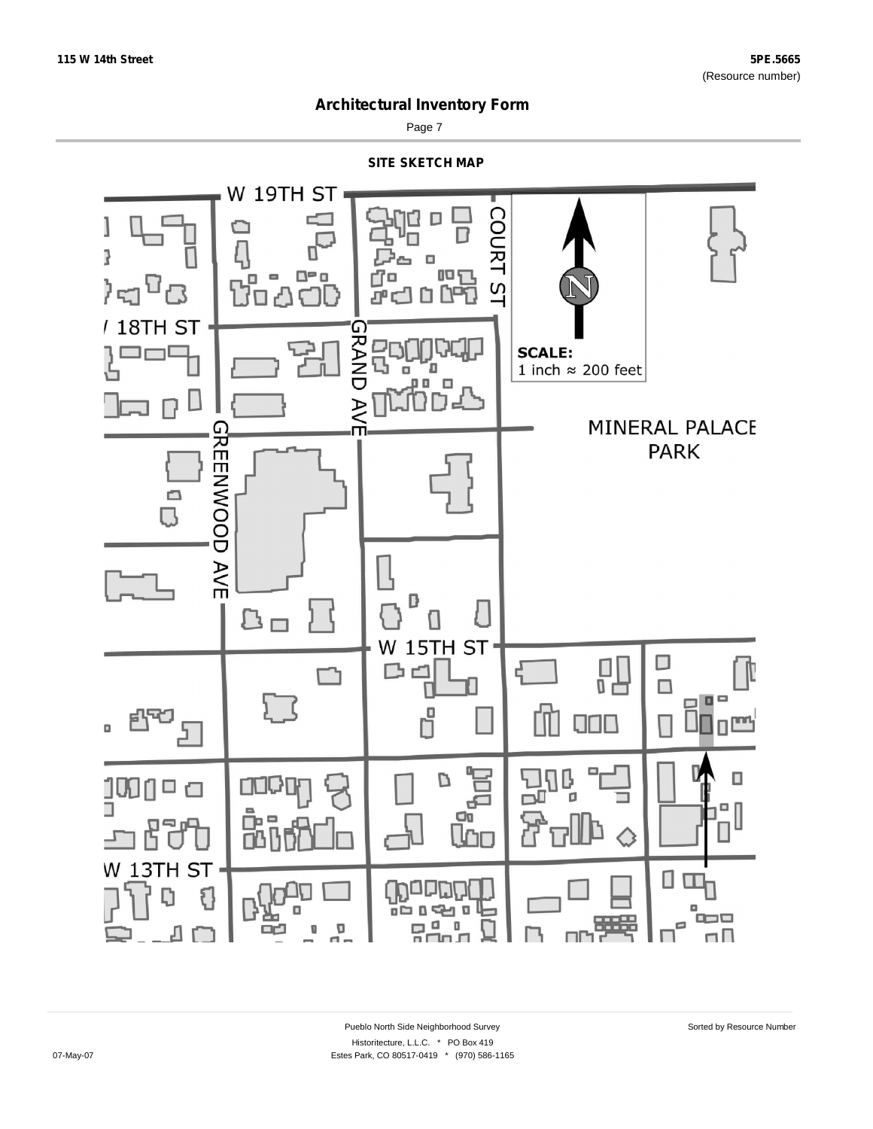

Page 7